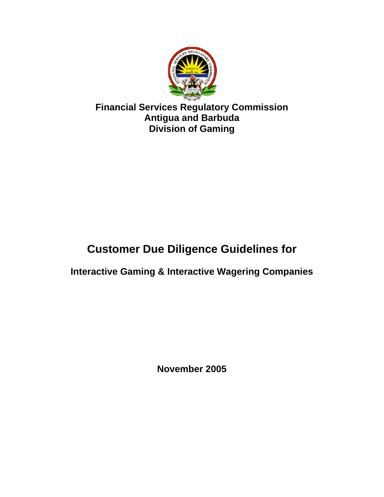

**Financial Services Regulatory Commission Antigua and Barbuda Division of Gaming** 

# **Customer Due Diligence Guidelines for**

# **Interactive Gaming & Interactive Wagering Companies**

**November 2005**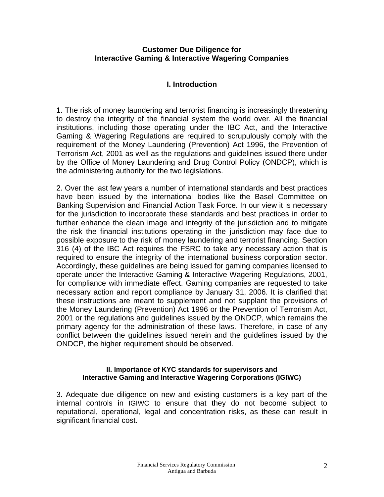#### **Customer Due Diligence for Interactive Gaming & Interactive Wagering Companies**

# **I. Introduction**

1. The risk of money laundering and terrorist financing is increasingly threatening to destroy the integrity of the financial system the world over. All the financial institutions, including those operating under the IBC Act, and the Interactive Gaming & Wagering Regulations are required to scrupulously comply with the requirement of the Money Laundering (Prevention) Act 1996, the Prevention of Terrorism Act, 2001 as well as the regulations and guidelines issued there under by the Office of Money Laundering and Drug Control Policy (ONDCP), which is the administering authority for the two legislations.

2. Over the last few years a number of international standards and best practices have been issued by the international bodies like the Basel Committee on Banking Supervision and Financial Action Task Force. In our view it is necessary for the jurisdiction to incorporate these standards and best practices in order to further enhance the clean image and integrity of the jurisdiction and to mitigate the risk the financial institutions operating in the jurisdiction may face due to possible exposure to the risk of money laundering and terrorist financing. Section 316 (4) of the IBC Act requires the FSRC to take any necessary action that is required to ensure the integrity of the international business corporation sector. Accordingly, these guidelines are being issued for gaming companies licensed to operate under the Interactive Gaming & Interactive Wagering Regulations, 2001, for compliance with immediate effect. Gaming companies are requested to take necessary action and report compliance by January 31, 2006. It is clarified that these instructions are meant to supplement and not supplant the provisions of the Money Laundering (Prevention) Act 1996 or the Prevention of Terrorism Act, 2001 or the regulations and guidelines issued by the ONDCP, which remains the primary agency for the administration of these laws. Therefore, in case of any conflict between the guidelines issued herein and the guidelines issued by the ONDCP, the higher requirement should be observed.

#### **II. Importance of KYC standards for supervisors and Interactive Gaming and Interactive Wagering Corporations (IGIWC)**

3. Adequate due diligence on new and existing customers is a key part of the internal controls in IGIWC to ensure that they do not become subject to reputational, operational, legal and concentration risks, as these can result in significant financial cost.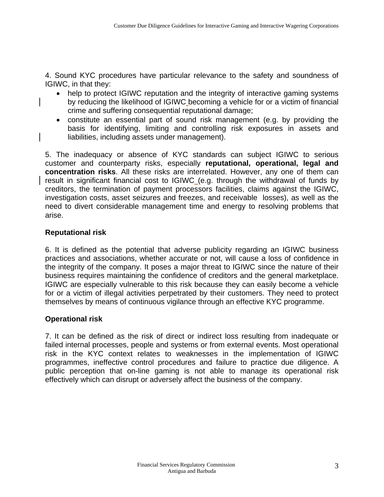4. Sound KYC procedures have particular relevance to the safety and soundness of IGIWC, in that they:

- help to protect IGIWC reputation and the integrity of interactive gaming systems by reducing the likelihood of IGIWC becoming a vehicle for or a victim of financial crime and suffering consequential reputational damage;
- constitute an essential part of sound risk management (e.g. by providing the basis for identifying, limiting and controlling risk exposures in assets and liabilities, including assets under management).

5. The inadequacy or absence of KYC standards can subject IGIWC to serious customer and counterparty risks, especially **reputational, operational, legal and concentration risks**. All these risks are interrelated. However, any one of them can result in significant financial cost to IGIWC (e.g. through the withdrawal of funds by creditors, the termination of payment processors facilities, claims against the IGIWC, investigation costs, asset seizures and freezes, and receivable losses), as well as the need to divert considerable management time and energy to resolving problems that arise.

#### **Reputational risk**

6. It is defined as the potential that adverse publicity regarding an IGIWC business practices and associations, whether accurate or not, will cause a loss of confidence in the integrity of the company. It poses a major threat to IGIWC since the nature of their business requires maintaining the confidence of creditors and the general marketplace. IGIWC are especially vulnerable to this risk because they can easily become a vehicle for or a victim of illegal activities perpetrated by their customers. They need to protect themselves by means of continuous vigilance through an effective KYC programme.

#### **Operational risk**

7. It can be defined as the risk of direct or indirect loss resulting from inadequate or failed internal processes, people and systems or from external events. Most operational risk in the KYC context relates to weaknesses in the implementation of IGIWC programmes, ineffective control procedures and failure to practice due diligence. A public perception that on-line gaming is not able to manage its operational risk effectively which can disrupt or adversely affect the business of the company.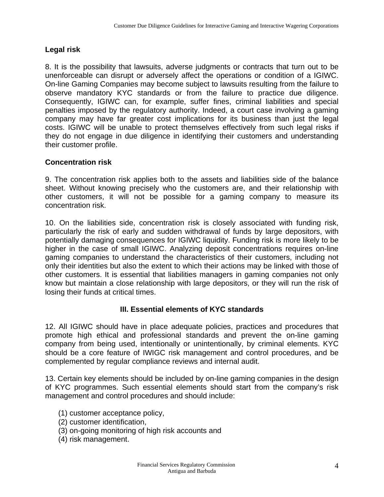# **Legal risk**

8. It is the possibility that lawsuits, adverse judgments or contracts that turn out to be unenforceable can disrupt or adversely affect the operations or condition of a IGIWC. On-line Gaming Companies may become subject to lawsuits resulting from the failure to observe mandatory KYC standards or from the failure to practice due diligence. Consequently, IGIWC can, for example, suffer fines, criminal liabilities and special penalties imposed by the regulatory authority. Indeed, a court case involving a gaming company may have far greater cost implications for its business than just the legal costs. IGIWC will be unable to protect themselves effectively from such legal risks if they do not engage in due diligence in identifying their customers and understanding their customer profile.

# **Concentration risk**

9. The concentration risk applies both to the assets and liabilities side of the balance sheet. Without knowing precisely who the customers are, and their relationship with other customers, it will not be possible for a gaming company to measure its concentration risk.

10. On the liabilities side, concentration risk is closely associated with funding risk, particularly the risk of early and sudden withdrawal of funds by large depositors, with potentially damaging consequences for IGIWC liquidity. Funding risk is more likely to be higher in the case of small IGIWC. Analyzing deposit concentrations requires on-line gaming companies to understand the characteristics of their customers, including not only their identities but also the extent to which their actions may be linked with those of other customers. It is essential that liabilities managers in gaming companies not only know but maintain a close relationship with large depositors, or they will run the risk of losing their funds at critical times.

#### **III. Essential elements of KYC standards**

12. All IGIWC should have in place adequate policies, practices and procedures that promote high ethical and professional standards and prevent the on-line gaming company from being used, intentionally or unintentionally, by criminal elements. KYC should be a core feature of IWIGC risk management and control procedures, and be complemented by regular compliance reviews and internal audit.

13. Certain key elements should be included by on-line gaming companies in the design of KYC programmes. Such essential elements should start from the company's risk management and control procedures and should include:

- (1) customer acceptance policy,
- (2) customer identification,
- (3) on-going monitoring of high risk accounts and
- (4) risk management.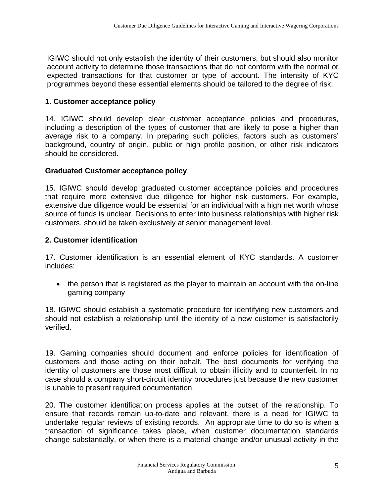IGIWC should not only establish the identity of their customers, but should also monitor account activity to determine those transactions that do not conform with the normal or expected transactions for that customer or type of account. The intensity of KYC programmes beyond these essential elements should be tailored to the degree of risk.

# **1. Customer acceptance policy**

14. IGIWC should develop clear customer acceptance policies and procedures, including a description of the types of customer that are likely to pose a higher than average risk to a company. In preparing such policies, factors such as customers' background, country of origin, public or high profile position, or other risk indicators should be considered.

# **Graduated Customer acceptance policy**

15. IGIWC should develop graduated customer acceptance policies and procedures that require more extensive due diligence for higher risk customers. For example, extensive due diligence would be essential for an individual with a high net worth whose source of funds is unclear. Decisions to enter into business relationships with higher risk customers, should be taken exclusively at senior management level.

# **2. Customer identification**

17. Customer identification is an essential element of KYC standards. A customer includes:

• the person that is registered as the player to maintain an account with the on-line gaming company

18. IGIWC should establish a systematic procedure for identifying new customers and should not establish a relationship until the identity of a new customer is satisfactorily verified.

19. Gaming companies should document and enforce policies for identification of customers and those acting on their behalf. The best documents for verifying the identity of customers are those most difficult to obtain illicitly and to counterfeit. In no case should a company short-circuit identity procedures just because the new customer is unable to present required documentation.

20. The customer identification process applies at the outset of the relationship. To ensure that records remain up-to-date and relevant, there is a need for IGIWC to undertake regular reviews of existing records. An appropriate time to do so is when a transaction of significance takes place, when customer documentation standards change substantially, or when there is a material change and/or unusual activity in the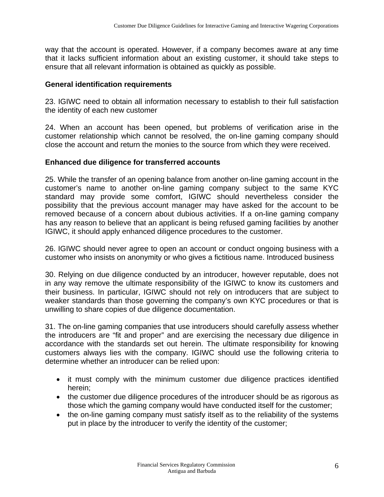way that the account is operated. However, if a company becomes aware at any time that it lacks sufficient information about an existing customer, it should take steps to ensure that all relevant information is obtained as quickly as possible.

#### **General identification requirements**

23. IGIWC need to obtain all information necessary to establish to their full satisfaction the identity of each new customer

24. When an account has been opened, but problems of verification arise in the customer relationship which cannot be resolved, the on-line gaming company should close the account and return the monies to the source from which they were received.

#### **Enhanced due diligence for transferred accounts**

25. While the transfer of an opening balance from another on-line gaming account in the customer's name to another on-line gaming company subject to the same KYC standard may provide some comfort, IGIWC should nevertheless consider the possibility that the previous account manager may have asked for the account to be removed because of a concern about dubious activities. If a on-line gaming company has any reason to believe that an applicant is being refused gaming facilities by another IGIWC, it should apply enhanced diligence procedures to the customer.

26. IGIWC should never agree to open an account or conduct ongoing business with a customer who insists on anonymity or who gives a fictitious name. Introduced business

30. Relying on due diligence conducted by an introducer, however reputable, does not in any way remove the ultimate responsibility of the IGIWC to know its customers and their business. In particular, IGIWC should not rely on introducers that are subject to weaker standards than those governing the company's own KYC procedures or that is unwilling to share copies of due diligence documentation.

31. The on-line gaming companies that use introducers should carefully assess whether the introducers are "fit and proper" and are exercising the necessary due diligence in accordance with the standards set out herein. The ultimate responsibility for knowing customers always lies with the company. IGIWC should use the following criteria to determine whether an introducer can be relied upon:

- it must comply with the minimum customer due diligence practices identified herein;
- the customer due diligence procedures of the introducer should be as rigorous as those which the gaming company would have conducted itself for the customer;
- the on-line gaming company must satisfy itself as to the reliability of the systems put in place by the introducer to verify the identity of the customer;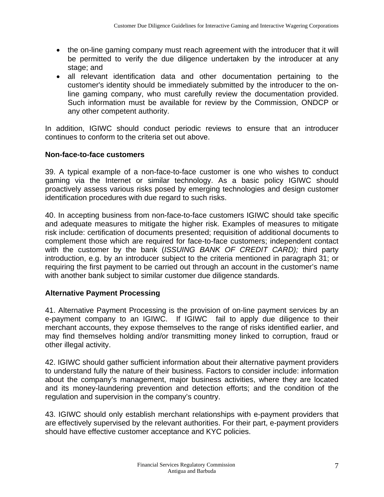- the on-line gaming company must reach agreement with the introducer that it will be permitted to verify the due diligence undertaken by the introducer at any stage; and
- all relevant identification data and other documentation pertaining to the customer's identity should be immediately submitted by the introducer to the online gaming company, who must carefully review the documentation provided. Such information must be available for review by the Commission, ONDCP or any other competent authority.

In addition, IGIWC should conduct periodic reviews to ensure that an introducer continues to conform to the criteria set out above.

# **Non-face-to-face customers**

39. A typical example of a non-face-to-face customer is one who wishes to conduct gaming via the Internet or similar technology. As a basic policy IGIWC should proactively assess various risks posed by emerging technologies and design customer identification procedures with due regard to such risks.

40. In accepting business from non-face-to-face customers IGIWC should take specific and adequate measures to mitigate the higher risk. Examples of measures to mitigate risk include: certification of documents presented; requisition of additional documents to complement those which are required for face-to-face customers; independent contact with the customer by the bank (*ISSUING BANK OF CREDIT CARD);* third party introduction, e.g. by an introducer subject to the criteria mentioned in paragraph 31; or requiring the first payment to be carried out through an account in the customer's name with another bank subject to similar customer due diligence standards.

# **Alternative Payment Processing**

41. Alternative Payment Processing is the provision of on-line payment services by an e-payment company to an IGIWC. If IGIWC fail to apply due diligence to their merchant accounts, they expose themselves to the range of risks identified earlier, and may find themselves holding and/or transmitting money linked to corruption, fraud or other illegal activity.

42. IGIWC should gather sufficient information about their alternative payment providers to understand fully the nature of their business. Factors to consider include: information about the company's management, major business activities, where they are located and its money-laundering prevention and detection efforts; and the condition of the regulation and supervision in the company's country.

43. IGIWC should only establish merchant relationships with e-payment providers that are effectively supervised by the relevant authorities. For their part, e-payment providers should have effective customer acceptance and KYC policies.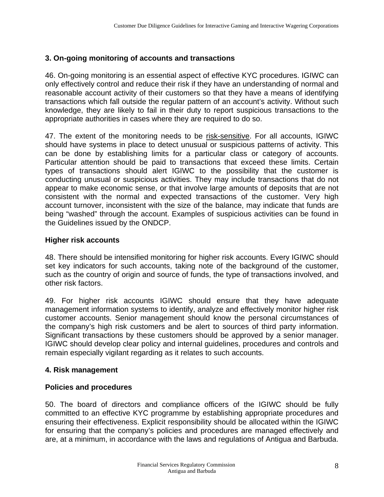# **3. On-going monitoring of accounts and transactions**

46. On-going monitoring is an essential aspect of effective KYC procedures. IGIWC can only effectively control and reduce their risk if they have an understanding of normal and reasonable account activity of their customers so that they have a means of identifying transactions which fall outside the regular pattern of an account's activity. Without such knowledge, they are likely to fail in their duty to report suspicious transactions to the appropriate authorities in cases where they are required to do so.

47. The extent of the monitoring needs to be risk-sensitive. For all accounts, IGIWC should have systems in place to detect unusual or suspicious patterns of activity. This can be done by establishing limits for a particular class or category of accounts. Particular attention should be paid to transactions that exceed these limits. Certain types of transactions should alert IGIWC to the possibility that the customer is conducting unusual or suspicious activities. They may include transactions that do not appear to make economic sense, or that involve large amounts of deposits that are not consistent with the normal and expected transactions of the customer. Very high account turnover, inconsistent with the size of the balance, may indicate that funds are being "washed" through the account. Examples of suspicious activities can be found in the Guidelines issued by the ONDCP.

#### **Higher risk accounts**

48. There should be intensified monitoring for higher risk accounts. Every IGIWC should set key indicators for such accounts, taking note of the background of the customer, such as the country of origin and source of funds, the type of transactions involved, and other risk factors.

49. For higher risk accounts IGIWC should ensure that they have adequate management information systems to identify, analyze and effectively monitor higher risk customer accounts. Senior management should know the personal circumstances of the company's high risk customers and be alert to sources of third party information. Significant transactions by these customers should be approved by a senior manager. IGIWC should develop clear policy and internal guidelines, procedures and controls and remain especially vigilant regarding as it relates to such accounts.

#### **4. Risk management**

#### **Policies and procedures**

50. The board of directors and compliance officers of the IGIWC should be fully committed to an effective KYC programme by establishing appropriate procedures and ensuring their effectiveness. Explicit responsibility should be allocated within the IGIWC for ensuring that the company's policies and procedures are managed effectively and are, at a minimum, in accordance with the laws and regulations of Antigua and Barbuda.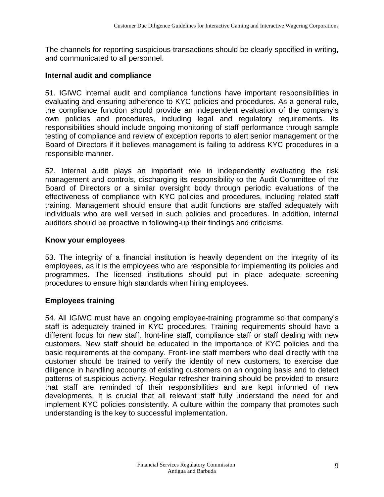The channels for reporting suspicious transactions should be clearly specified in writing, and communicated to all personnel.

#### **Internal audit and compliance**

51. IGIWC internal audit and compliance functions have important responsibilities in evaluating and ensuring adherence to KYC policies and procedures. As a general rule, the compliance function should provide an independent evaluation of the company's own policies and procedures, including legal and regulatory requirements. Its responsibilities should include ongoing monitoring of staff performance through sample testing of compliance and review of exception reports to alert senior management or the Board of Directors if it believes management is failing to address KYC procedures in a responsible manner.

52. Internal audit plays an important role in independently evaluating the risk management and controls, discharging its responsibility to the Audit Committee of the Board of Directors or a similar oversight body through periodic evaluations of the effectiveness of compliance with KYC policies and procedures, including related staff training. Management should ensure that audit functions are staffed adequately with individuals who are well versed in such policies and procedures. In addition, internal auditors should be proactive in following-up their findings and criticisms.

#### **Know your employees**

53. The integrity of a financial institution is heavily dependent on the integrity of its employees, as it is the employees who are responsible for implementing its policies and programmes. The licensed institutions should put in place adequate screening procedures to ensure high standards when hiring employees.

#### **Employees training**

54. All IGIWC must have an ongoing employee-training programme so that company's staff is adequately trained in KYC procedures. Training requirements should have a different focus for new staff, front-line staff, compliance staff or staff dealing with new customers. New staff should be educated in the importance of KYC policies and the basic requirements at the company. Front-line staff members who deal directly with the customer should be trained to verify the identity of new customers, to exercise due diligence in handling accounts of existing customers on an ongoing basis and to detect patterns of suspicious activity. Regular refresher training should be provided to ensure that staff are reminded of their responsibilities and are kept informed of new developments. It is crucial that all relevant staff fully understand the need for and implement KYC policies consistently. A culture within the company that promotes such understanding is the key to successful implementation.